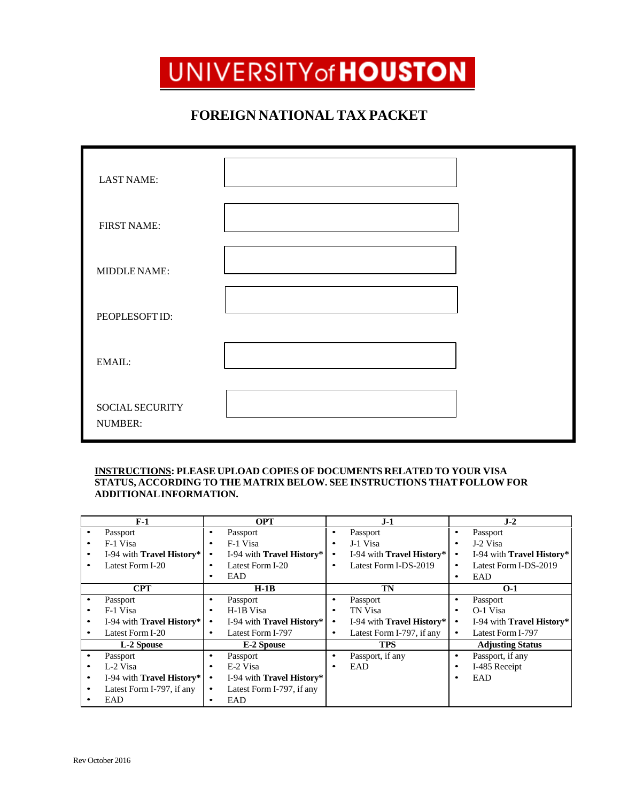## UNIVERSITY of **HOUSTON**

## **FOREIGN NATIONAL TAX PACKET**

| <b>LAST NAME:</b>          |  |
|----------------------------|--|
| <b>FIRST NAME:</b>         |  |
| MIDDLE NAME:               |  |
| PEOPLESOFT ID:             |  |
| EMAIL:                     |  |
| SOCIAL SECURITY<br>NUMBER: |  |

## **INSTRUCTIONS: PLEASE UPLOAD COPIES OF DOCUMENTS RELATED TO YOUR VISA STATUS, ACCORDING TO THE MATRIX BELOW. SEE INSTRUCTIONS THAT FOLLOW FOR ADDITIONALINFORMATION.**

|   | $F-1$                            |           | <b>OPT</b>                       |           | $J-1$                            |   | $J-2$                     |
|---|----------------------------------|-----------|----------------------------------|-----------|----------------------------------|---|---------------------------|
|   | Passport                         |           | Passport                         | ٠         | Passport                         | ٠ | Passport                  |
|   | F-1 Visa                         |           | F-1 Visa                         | ٠         | J-1 Visa                         |   | J-2 Visa                  |
| ٠ | I-94 with <b>Travel History*</b> |           | I-94 with <b>Travel History*</b> |           | I-94 with <b>Travel History*</b> |   | I-94 with Travel History* |
|   | Latest Form I-20                 |           | Latest Form I-20                 |           | Latest Form I-DS-2019            | ٠ | Latest Form I-DS-2019     |
|   |                                  |           | EAD                              |           |                                  | ٠ | EAD                       |
|   | <b>CPT</b>                       |           | $H-1B$                           |           | TN                               |   | $O-1$                     |
|   | Passport                         |           | Passport                         | ٠         | Passport                         |   | Passport                  |
|   | F-1 Visa                         |           | H-1B Visa                        | ٠         | TN Visa                          |   | O-1 Visa                  |
|   | I-94 with <b>Travel History*</b> |           | I-94 with <b>Travel History*</b> | ٠         | I-94 with <b>Travel History*</b> |   | I-94 with Travel History* |
|   | Latest Form I-20                 |           | Latest Form I-797                | $\bullet$ | Latest Form I-797, if any        | ٠ | Latest Form I-797         |
|   | L-2 Spouse                       |           | E-2 Spouse                       |           | TPS                              |   | <b>Adjusting Status</b>   |
|   | Passport                         |           | Passport                         | ٠         | Passport, if any                 | ٠ | Passport, if any          |
|   | L-2 Visa                         |           | E-2 Visa                         | ٠         | EAD                              |   | I-485 Receipt             |
| ٠ | I-94 with Travel History*        |           | I-94 with <b>Travel History*</b> |           |                                  | ٠ | EAD                       |
|   | Latest Form I-797, if any        | $\bullet$ | Latest Form I-797, if any        |           |                                  |   |                           |
|   | EAD                              |           | EAD                              |           |                                  |   |                           |